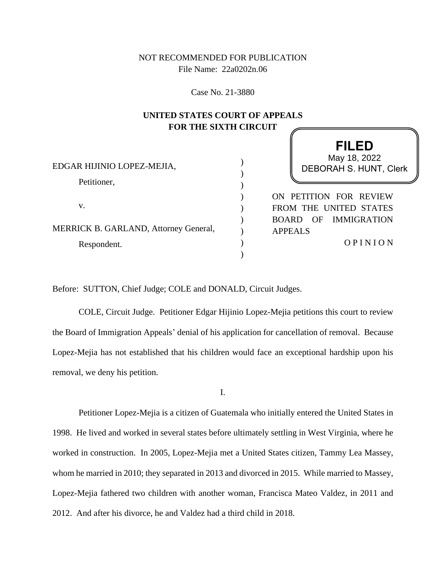# NOT RECOMMENDED FOR PUBLICATION File Name: 22a0202n.06

Case No. 21-3880

## **UNITED STATES COURT OF APPEALS FOR THE SIXTH CIRCUIT**

| EDGAR HIJINIO LOPEZ-MEJIA,            | . <i>.</i><br>May 18, 2022<br>DEBORAH S. HUNT, Clerk |
|---------------------------------------|------------------------------------------------------|
| Petitioner,                           |                                                      |
| V.                                    | ON PETITION FOR REVIEW                               |
|                                       | FROM THE UNITED STATES                               |
|                                       | <b>IMMIGRATION</b><br>OF<br><b>BOARD</b>             |
| MERRICK B. GARLAND, Attorney General, | <b>APPEALS</b>                                       |
| Respondent.                           | OPINION                                              |
|                                       |                                                      |

**FILED**

Before: SUTTON, Chief Judge; COLE and DONALD, Circuit Judges.

COLE, Circuit Judge. Petitioner Edgar Hijinio Lopez-Mejia petitions this court to review the Board of Immigration Appeals' denial of his application for cancellation of removal. Because Lopez-Mejia has not established that his children would face an exceptional hardship upon his removal, we deny his petition.

I.

Petitioner Lopez-Mejia is a citizen of Guatemala who initially entered the United States in 1998. He lived and worked in several states before ultimately settling in West Virginia, where he worked in construction.In 2005, Lopez-Mejia met a United States citizen, Tammy Lea Massey, whom he married in 2010; they separated in 2013 and divorced in 2015. While married to Massey, Lopez-Mejia fathered two children with another woman, Francisca Mateo Valdez, in 2011 and 2012. And after his divorce, he and Valdez had a third child in 2018.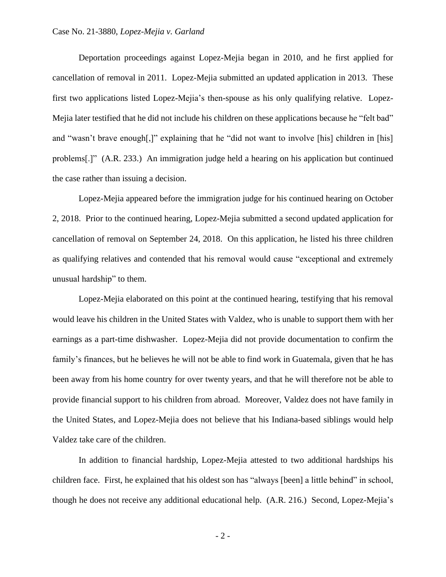### Case No. 21-3880, *Lopez-Mejia v. Garland*

Deportation proceedings against Lopez-Mejia began in 2010, and he first applied for cancellation of removal in 2011. Lopez-Mejia submitted an updated application in 2013. These first two applications listed Lopez-Mejia's then-spouse as his only qualifying relative. Lopez-Mejia later testified that he did not include his children on these applications because he "felt bad" and "wasn't brave enough[,]" explaining that he "did not want to involve [his] children in [his] problems[.]" (A.R. 233.) An immigration judge held a hearing on his application but continued the case rather than issuing a decision.

Lopez-Mejia appeared before the immigration judge for his continued hearing on October 2, 2018. Prior to the continued hearing, Lopez-Mejia submitted a second updated application for cancellation of removal on September 24, 2018. On this application, he listed his three children as qualifying relatives and contended that his removal would cause "exceptional and extremely unusual hardship" to them.

Lopez-Mejia elaborated on this point at the continued hearing, testifying that his removal would leave his children in the United States with Valdez, who is unable to support them with her earnings as a part-time dishwasher. Lopez-Mejia did not provide documentation to confirm the family's finances, but he believes he will not be able to find work in Guatemala, given that he has been away from his home country for over twenty years, and that he will therefore not be able to provide financial support to his children from abroad. Moreover, Valdez does not have family in the United States, and Lopez-Mejia does not believe that his Indiana-based siblings would help Valdez take care of the children.

In addition to financial hardship, Lopez-Mejia attested to two additional hardships his children face. First, he explained that his oldest son has "always [been] a little behind" in school, though he does not receive any additional educational help. (A.R. 216.) Second, Lopez-Mejia's

- 2 -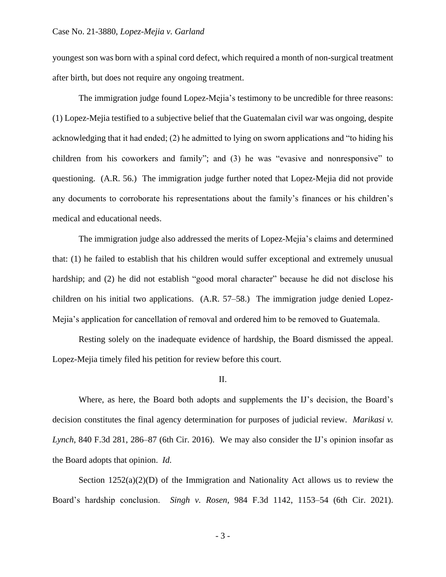youngest son was born with a spinal cord defect, which required a month of non-surgical treatment after birth, but does not require any ongoing treatment.

The immigration judge found Lopez-Mejia's testimony to be uncredible for three reasons: (1) Lopez-Mejia testified to a subjective belief that the Guatemalan civil war was ongoing, despite acknowledging that it had ended; (2) he admitted to lying on sworn applications and "to hiding his children from his coworkers and family"; and (3) he was "evasive and nonresponsive" to questioning. (A.R. 56.) The immigration judge further noted that Lopez-Mejia did not provide any documents to corroborate his representations about the family's finances or his children's medical and educational needs.

The immigration judge also addressed the merits of Lopez-Mejia's claims and determined that: (1) he failed to establish that his children would suffer exceptional and extremely unusual hardship; and (2) he did not establish "good moral character" because he did not disclose his children on his initial two applications. (A.R. 57–58.) The immigration judge denied Lopez-Mejia's application for cancellation of removal and ordered him to be removed to Guatemala.

Resting solely on the inadequate evidence of hardship, the Board dismissed the appeal. Lopez-Mejia timely filed his petition for review before this court.

#### II.

Where, as here, the Board both adopts and supplements the IJ's decision, the Board's decision constitutes the final agency determination for purposes of judicial review. *Marikasi v. Lynch*, 840 F.3d 281, 286–87 (6th Cir. 2016). We may also consider the IJ's opinion insofar as the Board adopts that opinion. *Id.*

Section  $1252(a)(2)(D)$  of the Immigration and Nationality Act allows us to review the Board's hardship conclusion. *Singh v. Rosen*, 984 F.3d 1142, 1153–54 (6th Cir. 2021).

- 3 -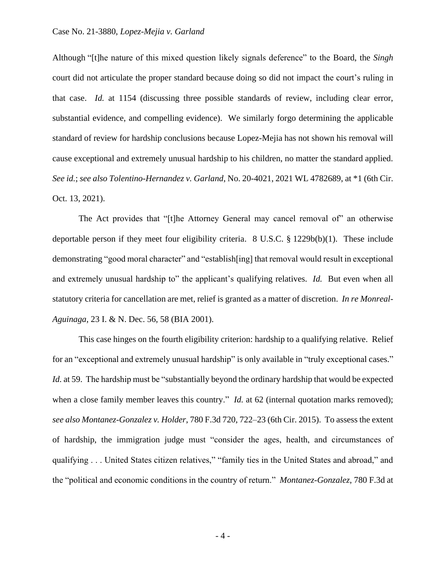### Case No. 21-3880, *Lopez-Mejia v. Garland*

Although "[t]he nature of this mixed question likely signals deference" to the Board, the *Singh*  court did not articulate the proper standard because doing so did not impact the court's ruling in that case. *Id.* at 1154 (discussing three possible standards of review, including clear error, substantial evidence, and compelling evidence). We similarly forgo determining the applicable standard of review for hardship conclusions because Lopez-Mejia has not shown his removal will cause exceptional and extremely unusual hardship to his children, no matter the standard applied. *See id.*; *see also Tolentino-Hernandez v. Garland*, No. 20-4021, 2021 WL 4782689, at \*1 (6th Cir. Oct. 13, 2021).

The Act provides that "[t]he Attorney General may cancel removal of" an otherwise deportable person if they meet four eligibility criteria. 8 U.S.C. § 1229b(b)(1). These include demonstrating "good moral character" and "establish[ing] that removal would result in exceptional and extremely unusual hardship to" the applicant's qualifying relatives. *Id.* But even when all statutory criteria for cancellation are met, relief is granted as a matter of discretion. *In re Monreal-Aguinaga*, 23 I. & N. Dec. 56, 58 (BIA 2001).

This case hinges on the fourth eligibility criterion: hardship to a qualifying relative. Relief for an "exceptional and extremely unusual hardship" is only available in "truly exceptional cases." *Id.* at 59. The hardship must be "substantially beyond the ordinary hardship that would be expected when a close family member leaves this country." *Id.* at 62 (internal quotation marks removed); *see also Montanez-Gonzalez v. Holder*, 780 F.3d 720, 722–23 (6th Cir. 2015). To assess the extent of hardship, the immigration judge must "consider the ages, health, and circumstances of qualifying . . . United States citizen relatives," "family ties in the United States and abroad," and the "political and economic conditions in the country of return." *Montanez-Gonzalez*, 780 F.3d at